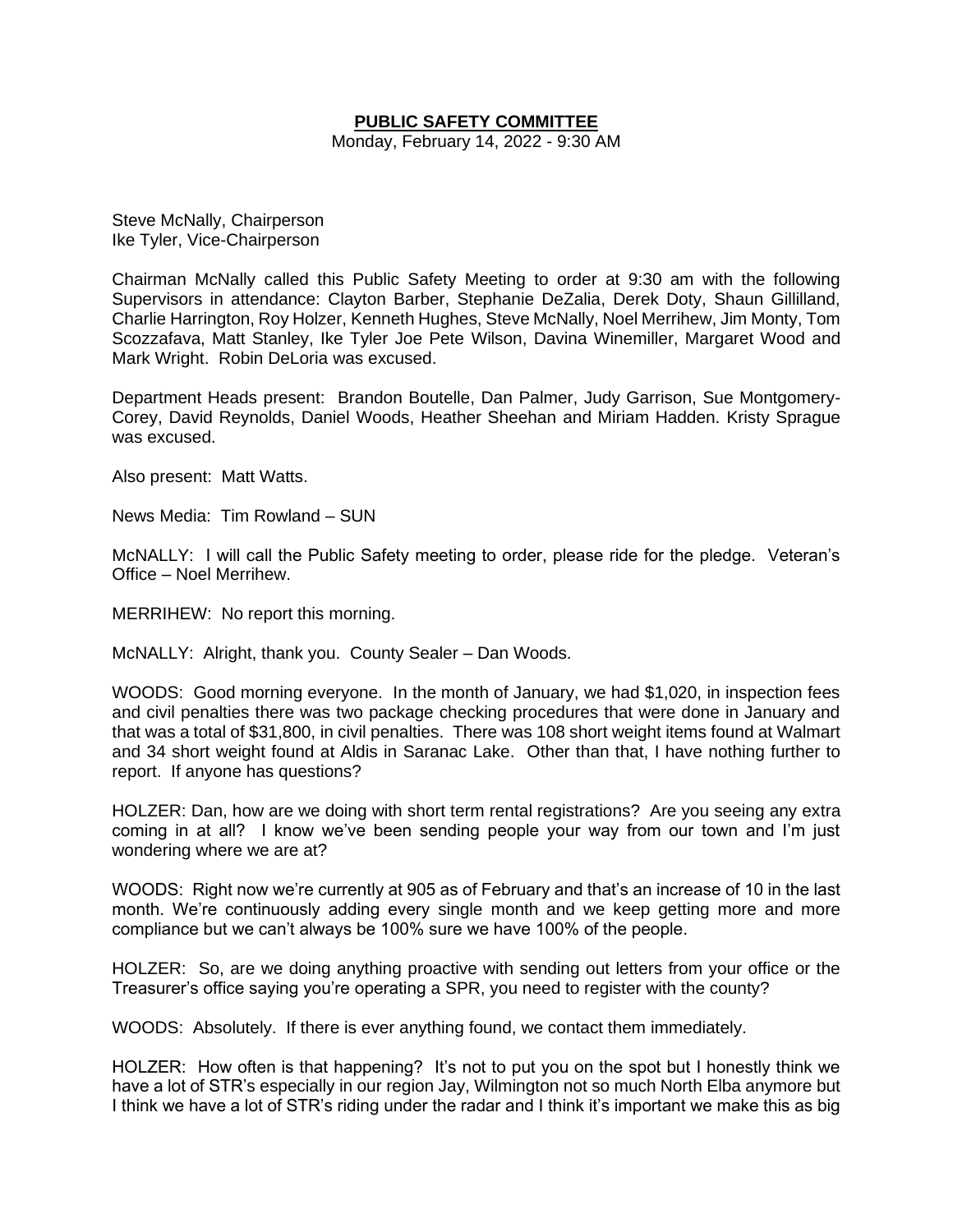### **PUBLIC SAFETY COMMITTEE**

Monday, February 14, 2022 - 9:30 AM

Steve McNally, Chairperson Ike Tyler, Vice-Chairperson

Chairman McNally called this Public Safety Meeting to order at 9:30 am with the following Supervisors in attendance: Clayton Barber, Stephanie DeZalia, Derek Doty, Shaun Gillilland, Charlie Harrington, Roy Holzer, Kenneth Hughes, Steve McNally, Noel Merrihew, Jim Monty, Tom Scozzafava, Matt Stanley, Ike Tyler Joe Pete Wilson, Davina Winemiller, Margaret Wood and Mark Wright. Robin DeLoria was excused.

Department Heads present: Brandon Boutelle, Dan Palmer, Judy Garrison, Sue Montgomery-Corey, David Reynolds, Daniel Woods, Heather Sheehan and Miriam Hadden. Kristy Sprague was excused.

Also present: Matt Watts.

News Media: Tim Rowland – SUN

McNALLY: I will call the Public Safety meeting to order, please ride for the pledge. Veteran's Office – Noel Merrihew.

MERRIHEW: No report this morning.

McNALLY: Alright, thank you. County Sealer – Dan Woods.

WOODS: Good morning everyone. In the month of January, we had \$1,020, in inspection fees and civil penalties there was two package checking procedures that were done in January and that was a total of \$31,800, in civil penalties. There was 108 short weight items found at Walmart and 34 short weight found at Aldis in Saranac Lake. Other than that, I have nothing further to report. If anyone has questions?

HOLZER: Dan, how are we doing with short term rental registrations? Are you seeing any extra coming in at all? I know we've been sending people your way from our town and I'm just wondering where we are at?

WOODS: Right now we're currently at 905 as of February and that's an increase of 10 in the last month. We're continuously adding every single month and we keep getting more and more compliance but we can't always be 100% sure we have 100% of the people.

HOLZER: So, are we doing anything proactive with sending out letters from your office or the Treasurer's office saying you're operating a SPR, you need to register with the county?

WOODS: Absolutely. If there is ever anything found, we contact them immediately.

HOLZER: How often is that happening? It's not to put you on the spot but I honestly think we have a lot of STR's especially in our region Jay, Wilmington not so much North Elba anymore but I think we have a lot of STR's riding under the radar and I think it's important we make this as big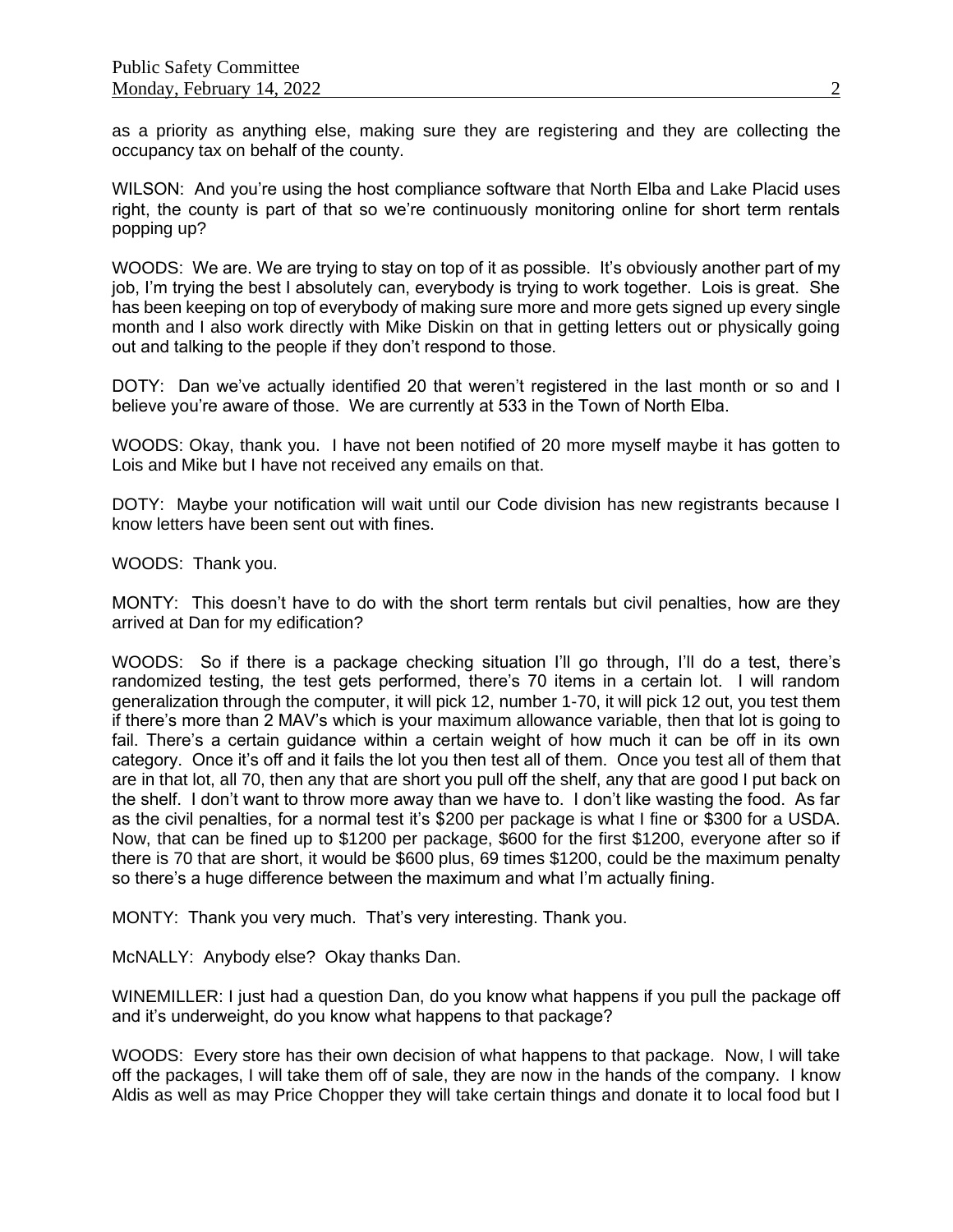as a priority as anything else, making sure they are registering and they are collecting the occupancy tax on behalf of the county.

WILSON: And you're using the host compliance software that North Elba and Lake Placid uses right, the county is part of that so we're continuously monitoring online for short term rentals popping up?

WOODS: We are. We are trying to stay on top of it as possible. It's obviously another part of my job, I'm trying the best I absolutely can, everybody is trying to work together. Lois is great. She has been keeping on top of everybody of making sure more and more gets signed up every single month and I also work directly with Mike Diskin on that in getting letters out or physically going out and talking to the people if they don't respond to those.

DOTY: Dan we've actually identified 20 that weren't registered in the last month or so and I believe you're aware of those. We are currently at 533 in the Town of North Elba.

WOODS: Okay, thank you. I have not been notified of 20 more myself maybe it has gotten to Lois and Mike but I have not received any emails on that.

DOTY: Maybe your notification will wait until our Code division has new registrants because I know letters have been sent out with fines.

WOODS: Thank you.

MONTY: This doesn't have to do with the short term rentals but civil penalties, how are they arrived at Dan for my edification?

WOODS: So if there is a package checking situation I'll go through, I'll do a test, there's randomized testing, the test gets performed, there's 70 items in a certain lot. I will random generalization through the computer, it will pick 12, number 1-70, it will pick 12 out, you test them if there's more than 2 MAV's which is your maximum allowance variable, then that lot is going to fail. There's a certain guidance within a certain weight of how much it can be off in its own category. Once it's off and it fails the lot you then test all of them. Once you test all of them that are in that lot, all 70, then any that are short you pull off the shelf, any that are good I put back on the shelf. I don't want to throw more away than we have to. I don't like wasting the food. As far as the civil penalties, for a normal test it's \$200 per package is what I fine or \$300 for a USDA. Now, that can be fined up to \$1200 per package, \$600 for the first \$1200, everyone after so if there is 70 that are short, it would be \$600 plus, 69 times \$1200, could be the maximum penalty so there's a huge difference between the maximum and what I'm actually fining.

MONTY: Thank you very much. That's very interesting. Thank you.

McNALLY: Anybody else? Okay thanks Dan.

WINEMILLER: I just had a question Dan, do you know what happens if you pull the package off and it's underweight, do you know what happens to that package?

WOODS: Every store has their own decision of what happens to that package. Now, I will take off the packages, I will take them off of sale, they are now in the hands of the company. I know Aldis as well as may Price Chopper they will take certain things and donate it to local food but I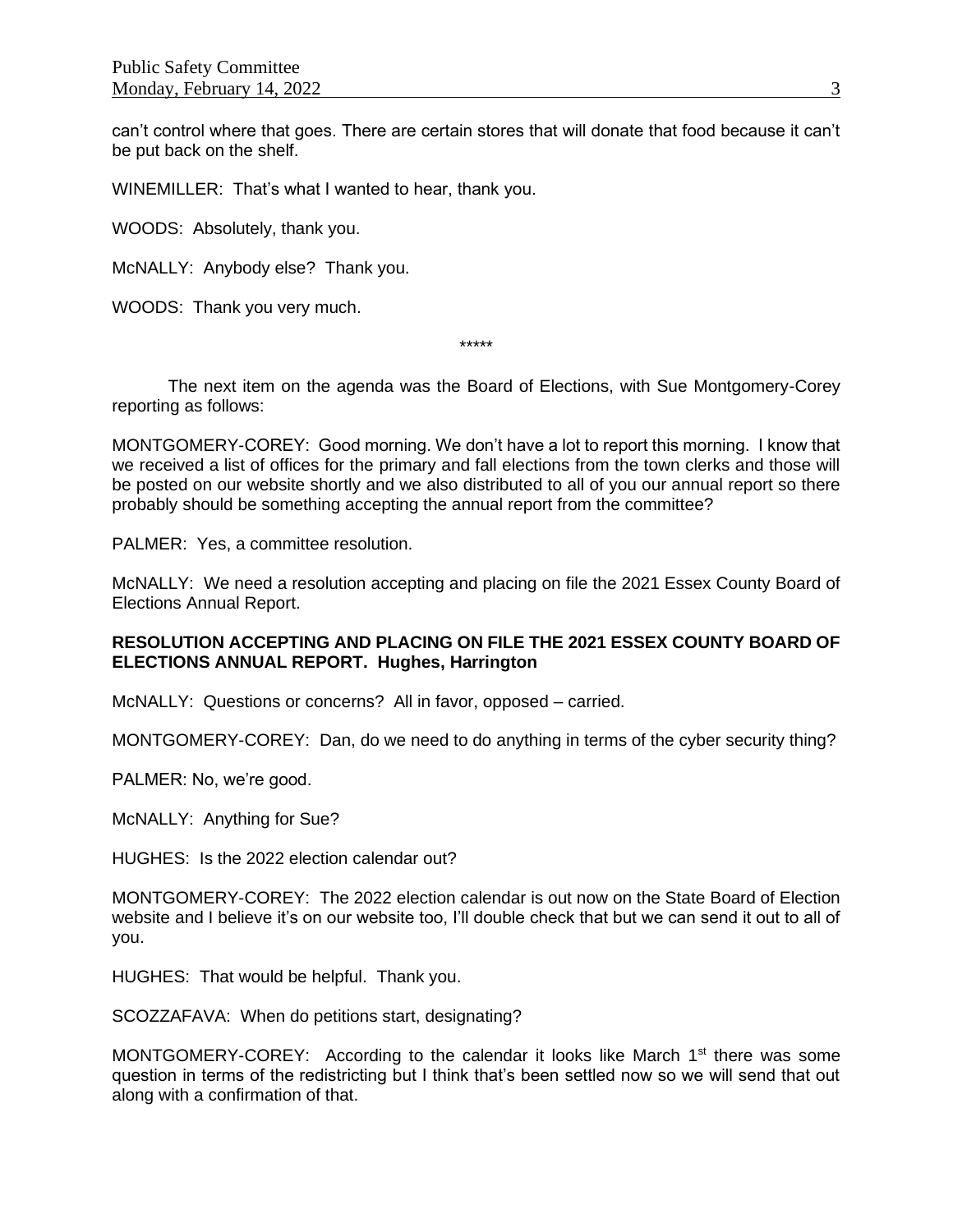can't control where that goes. There are certain stores that will donate that food because it can't be put back on the shelf.

WINEMILLER: That's what I wanted to hear, thank you.

WOODS: Absolutely, thank you.

McNALLY: Anybody else? Thank you.

WOODS: Thank you very much.

\*\*\*\*\*

The next item on the agenda was the Board of Elections, with Sue Montgomery-Corey reporting as follows:

MONTGOMERY-COREY: Good morning. We don't have a lot to report this morning. I know that we received a list of offices for the primary and fall elections from the town clerks and those will be posted on our website shortly and we also distributed to all of you our annual report so there probably should be something accepting the annual report from the committee?

PALMER: Yes, a committee resolution.

McNALLY: We need a resolution accepting and placing on file the 2021 Essex County Board of Elections Annual Report.

### **RESOLUTION ACCEPTING AND PLACING ON FILE THE 2021 ESSEX COUNTY BOARD OF ELECTIONS ANNUAL REPORT. Hughes, Harrington**

McNALLY: Questions or concerns? All in favor, opposed – carried.

MONTGOMERY-COREY: Dan, do we need to do anything in terms of the cyber security thing?

PALMER: No, we're good.

McNALLY: Anything for Sue?

HUGHES: Is the 2022 election calendar out?

MONTGOMERY-COREY: The 2022 election calendar is out now on the State Board of Election website and I believe it's on our website too, I'll double check that but we can send it out to all of you.

HUGHES: That would be helpful. Thank you.

SCOZZAFAVA: When do petitions start, designating?

MONTGOMERY-COREY: According to the calendar it looks like March 1<sup>st</sup> there was some question in terms of the redistricting but I think that's been settled now so we will send that out along with a confirmation of that.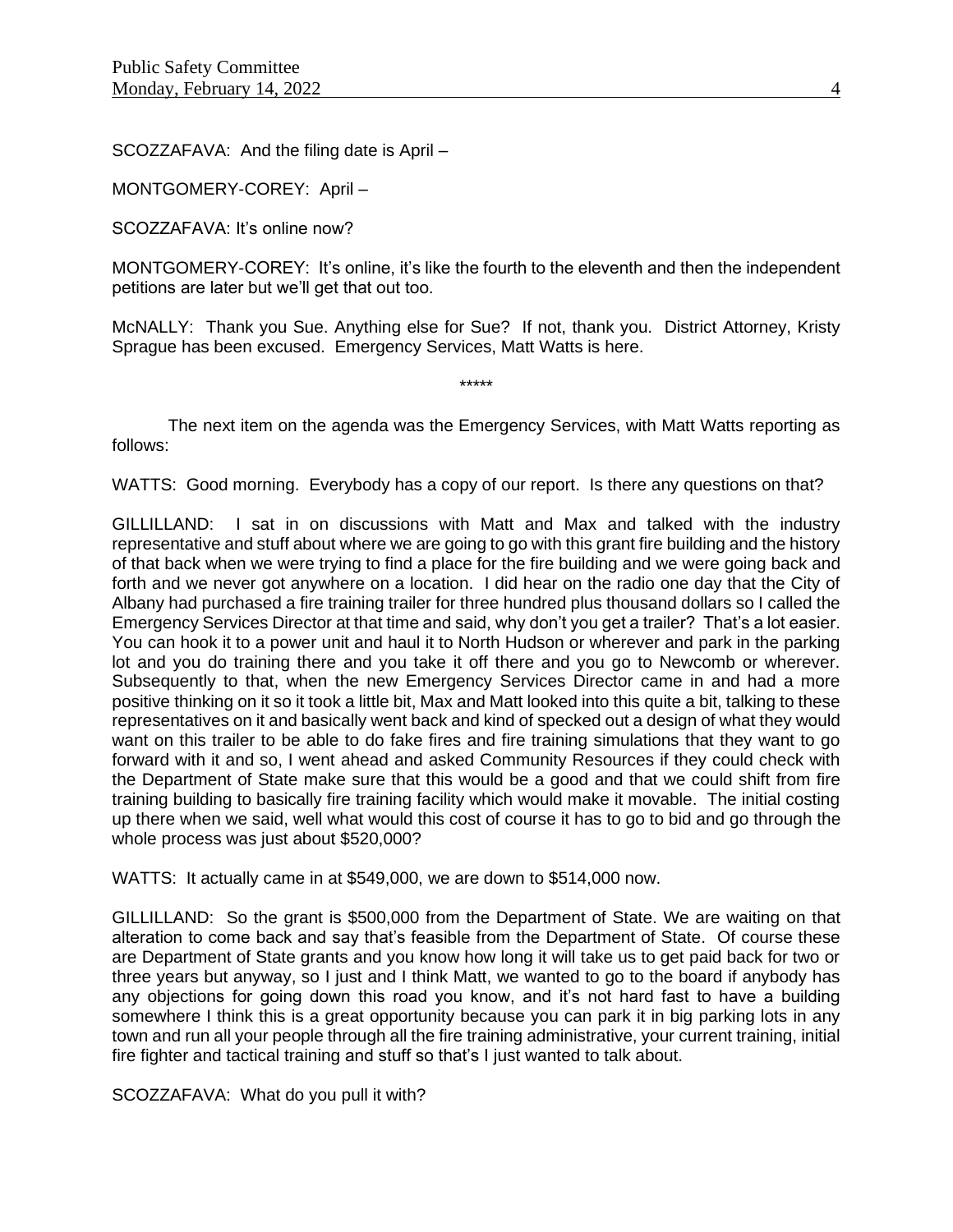SCOZZAFAVA: And the filing date is April –

MONTGOMERY-COREY: April –

SCOZZAFAVA: It's online now?

MONTGOMERY-COREY: It's online, it's like the fourth to the eleventh and then the independent petitions are later but we'll get that out too.

McNALLY: Thank you Sue. Anything else for Sue? If not, thank you. District Attorney, Kristy Sprague has been excused. Emergency Services, Matt Watts is here.

The next item on the agenda was the Emergency Services, with Matt Watts reporting as follows:

\*\*\*\*\*

WATTS: Good morning. Everybody has a copy of our report. Is there any questions on that?

GILLILLAND: I sat in on discussions with Matt and Max and talked with the industry representative and stuff about where we are going to go with this grant fire building and the history of that back when we were trying to find a place for the fire building and we were going back and forth and we never got anywhere on a location. I did hear on the radio one day that the City of Albany had purchased a fire training trailer for three hundred plus thousand dollars so I called the Emergency Services Director at that time and said, why don't you get a trailer? That's a lot easier. You can hook it to a power unit and haul it to North Hudson or wherever and park in the parking lot and you do training there and you take it off there and you go to Newcomb or wherever. Subsequently to that, when the new Emergency Services Director came in and had a more positive thinking on it so it took a little bit, Max and Matt looked into this quite a bit, talking to these representatives on it and basically went back and kind of specked out a design of what they would want on this trailer to be able to do fake fires and fire training simulations that they want to go forward with it and so, I went ahead and asked Community Resources if they could check with the Department of State make sure that this would be a good and that we could shift from fire training building to basically fire training facility which would make it movable. The initial costing up there when we said, well what would this cost of course it has to go to bid and go through the whole process was just about \$520,000?

WATTS: It actually came in at \$549,000, we are down to \$514,000 now.

GILLILLAND: So the grant is \$500,000 from the Department of State. We are waiting on that alteration to come back and say that's feasible from the Department of State. Of course these are Department of State grants and you know how long it will take us to get paid back for two or three years but anyway, so I just and I think Matt, we wanted to go to the board if anybody has any objections for going down this road you know, and it's not hard fast to have a building somewhere I think this is a great opportunity because you can park it in big parking lots in any town and run all your people through all the fire training administrative, your current training, initial fire fighter and tactical training and stuff so that's I just wanted to talk about.

SCOZZAFAVA: What do you pull it with?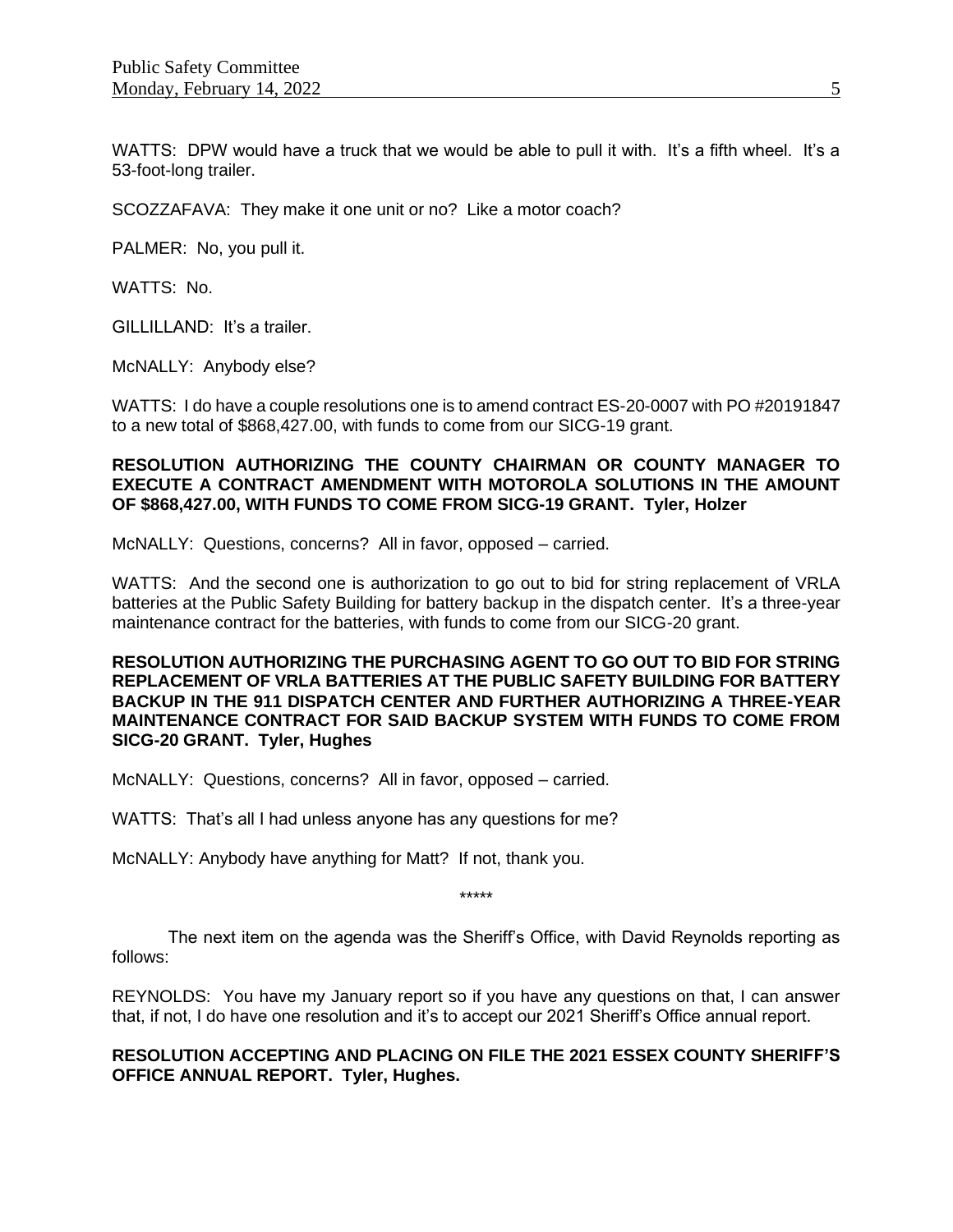WATTS: DPW would have a truck that we would be able to pull it with. It's a fifth wheel. It's a 53-foot-long trailer.

SCOZZAFAVA: They make it one unit or no? Like a motor coach?

PALMER: No, you pull it.

WATTS: No.

GILLILLAND: It's a trailer.

McNALLY: Anybody else?

WATTS: I do have a couple resolutions one is to amend contract ES-20-0007 with PO #20191847 to a new total of \$868,427.00, with funds to come from our SICG-19 grant.

#### **RESOLUTION AUTHORIZING THE COUNTY CHAIRMAN OR COUNTY MANAGER TO EXECUTE A CONTRACT AMENDMENT WITH MOTOROLA SOLUTIONS IN THE AMOUNT OF \$868,427.00, WITH FUNDS TO COME FROM SICG-19 GRANT. Tyler, Holzer**

McNALLY: Questions, concerns? All in favor, opposed – carried.

WATTS: And the second one is authorization to go out to bid for string replacement of VRLA batteries at the Public Safety Building for battery backup in the dispatch center. It's a three-year maintenance contract for the batteries, with funds to come from our SICG-20 grant.

#### **RESOLUTION AUTHORIZING THE PURCHASING AGENT TO GO OUT TO BID FOR STRING REPLACEMENT OF VRLA BATTERIES AT THE PUBLIC SAFETY BUILDING FOR BATTERY BACKUP IN THE 911 DISPATCH CENTER AND FURTHER AUTHORIZING A THREE-YEAR MAINTENANCE CONTRACT FOR SAID BACKUP SYSTEM WITH FUNDS TO COME FROM SICG-20 GRANT. Tyler, Hughes**

McNALLY: Questions, concerns? All in favor, opposed – carried.

WATTS: That's all I had unless anyone has any questions for me?

McNALLY: Anybody have anything for Matt? If not, thank you.

\*\*\*\*\*

The next item on the agenda was the Sheriff's Office, with David Reynolds reporting as follows:

REYNOLDS: You have my January report so if you have any questions on that, I can answer that, if not, I do have one resolution and it's to accept our 2021 Sheriff's Office annual report.

# **RESOLUTION ACCEPTING AND PLACING ON FILE THE 2021 ESSEX COUNTY SHERIFF'S OFFICE ANNUAL REPORT. Tyler, Hughes.**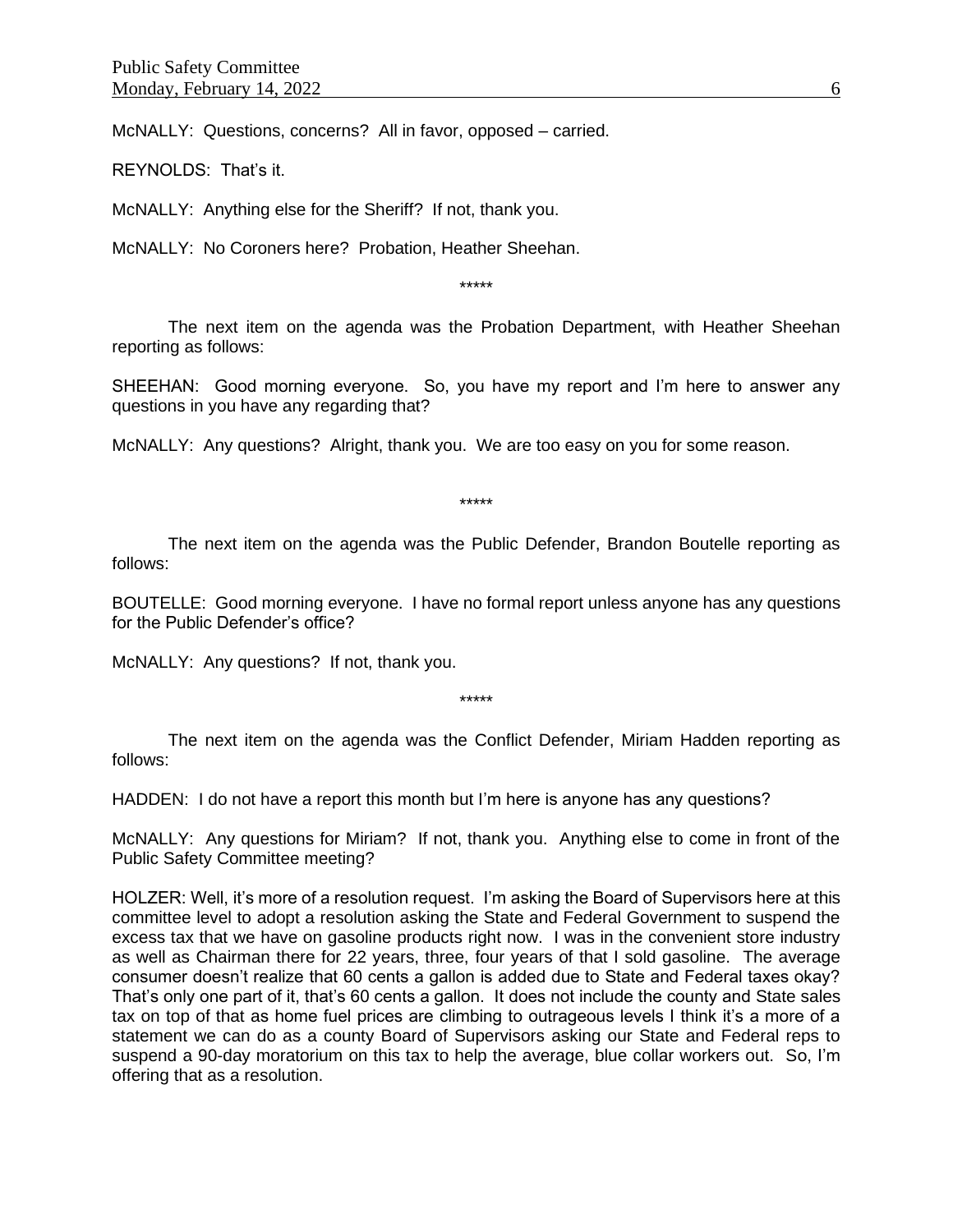McNALLY: Questions, concerns? All in favor, opposed – carried.

REYNOLDS: That's it.

McNALLY: Anything else for the Sheriff? If not, thank you.

McNALLY: No Coroners here? Probation, Heather Sheehan.

\*\*\*\*\*

The next item on the agenda was the Probation Department, with Heather Sheehan reporting as follows:

SHEEHAN: Good morning everyone. So, you have my report and I'm here to answer any questions in you have any regarding that?

McNALLY: Any questions? Alright, thank you. We are too easy on you for some reason.

\*\*\*\*\*

The next item on the agenda was the Public Defender, Brandon Boutelle reporting as follows:

BOUTELLE: Good morning everyone. I have no formal report unless anyone has any questions for the Public Defender's office?

McNALLY: Any questions? If not, thank you.

\*\*\*\*\*

The next item on the agenda was the Conflict Defender, Miriam Hadden reporting as follows:

HADDEN: I do not have a report this month but I'm here is anyone has any questions?

McNALLY: Any questions for Miriam? If not, thank you. Anything else to come in front of the Public Safety Committee meeting?

HOLZER: Well, it's more of a resolution request. I'm asking the Board of Supervisors here at this committee level to adopt a resolution asking the State and Federal Government to suspend the excess tax that we have on gasoline products right now. I was in the convenient store industry as well as Chairman there for 22 years, three, four years of that I sold gasoline. The average consumer doesn't realize that 60 cents a gallon is added due to State and Federal taxes okay? That's only one part of it, that's 60 cents a gallon. It does not include the county and State sales tax on top of that as home fuel prices are climbing to outrageous levels I think it's a more of a statement we can do as a county Board of Supervisors asking our State and Federal reps to suspend a 90-day moratorium on this tax to help the average, blue collar workers out. So, I'm offering that as a resolution.